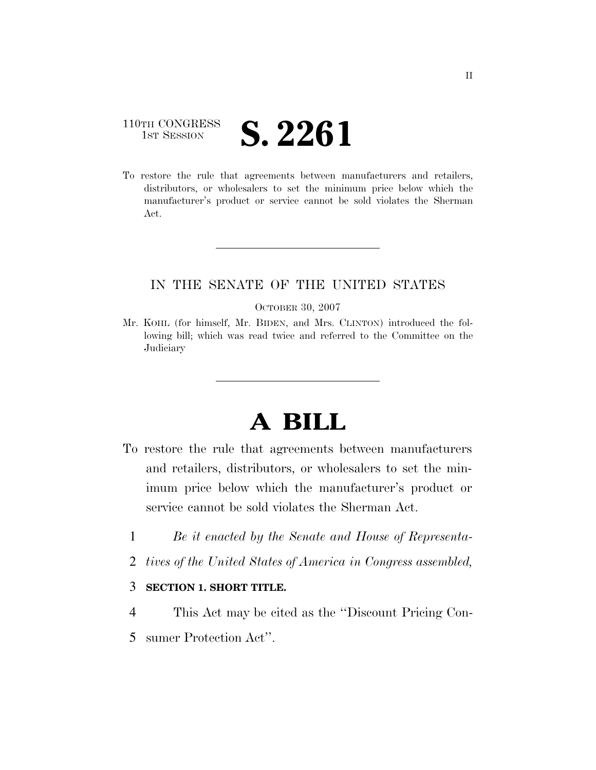## 110TH CONGRESS **IST SESSION S. 2261**

To restore the rule that agreements between manufacturers and retailers, distributors, or wholesalers to set the minimum price below which the manufacturer's product or service cannot be sold violates the Sherman Act.

## IN THE SENATE OF THE UNITED STATES

#### OCTOBER 30, 2007

Mr. KOHL (for himself, Mr. BIDEN, and Mrs. CLINTON) introduced the following bill; which was read twice and referred to the Committee on the Judiciary

# **A BILL**

- To restore the rule that agreements between manufacturers and retailers, distributors, or wholesalers to set the minimum price below which the manufacturer's product or service cannot be sold violates the Sherman Act.
	- 1 *Be it enacted by the Senate and House of Representa-*
	- 2 *tives of the United States of America in Congress assembled,*

### 3 **SECTION 1. SHORT TITLE.**

- 4 This Act may be cited as the ''Discount Pricing Con-
- 5 sumer Protection Act''.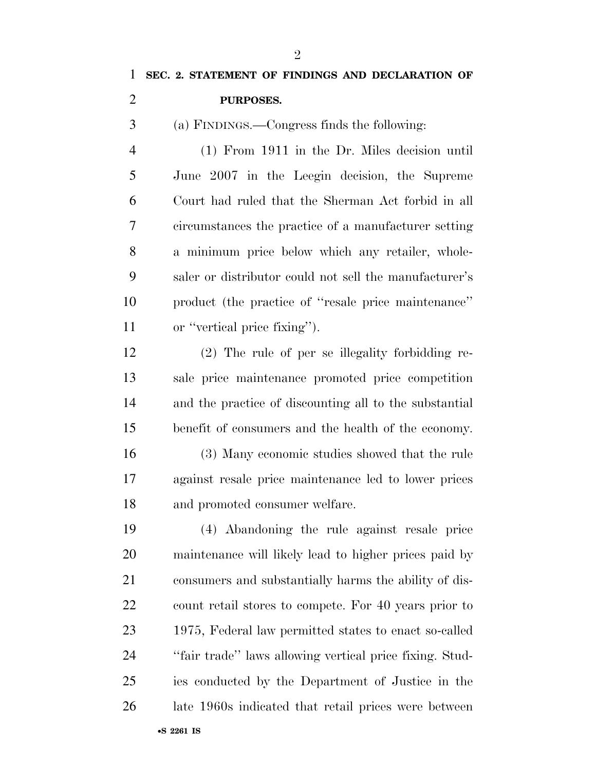## **SEC. 2. STATEMENT OF FINDINGS AND DECLARATION OF PURPOSES.**

(a) FINDINGS.—Congress finds the following:

 (1) From 1911 in the Dr. Miles decision until June 2007 in the Leegin decision, the Supreme Court had ruled that the Sherman Act forbid in all circumstances the practice of a manufacturer setting a minimum price below which any retailer, whole- saler or distributor could not sell the manufacturer's product (the practice of ''resale price maintenance'' or ''vertical price fixing'').

 (2) The rule of per se illegality forbidding re- sale price maintenance promoted price competition and the practice of discounting all to the substantial benefit of consumers and the health of the economy.

 (3) Many economic studies showed that the rule against resale price maintenance led to lower prices and promoted consumer welfare.

 (4) Abandoning the rule against resale price maintenance will likely lead to higher prices paid by consumers and substantially harms the ability of dis- count retail stores to compete. For 40 years prior to 1975, Federal law permitted states to enact so-called ''fair trade'' laws allowing vertical price fixing. Stud- ies conducted by the Department of Justice in the late 1960s indicated that retail prices were between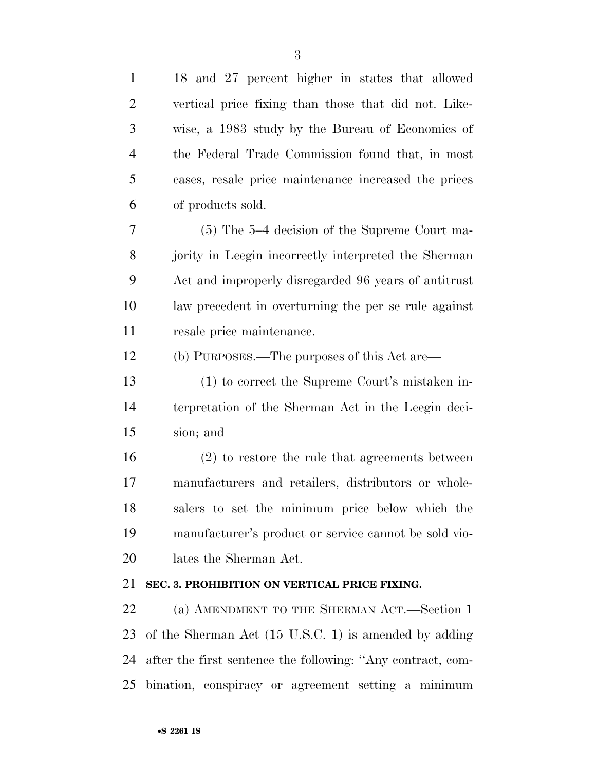| $\mathbf{1}$   | 18 and 27 percent higher in states that allowed                 |
|----------------|-----------------------------------------------------------------|
| $\overline{2}$ | vertical price fixing than those that did not. Like-            |
| 3              | wise, a 1983 study by the Bureau of Economics of                |
| $\overline{4}$ | the Federal Trade Commission found that, in most                |
| 5              | cases, resale price maintenance increased the prices            |
| 6              | of products sold.                                               |
| 7              | $(5)$ The 5-4 decision of the Supreme Court ma-                 |
| 8              | jority in Leegin incorrectly interpreted the Sherman            |
| 9              | Act and improperly disregarded 96 years of antitrust            |
| 10             | law precedent in overturning the per se rule against            |
| 11             | resale price maintenance.                                       |
| 12             | (b) PURPOSES.—The purposes of this Act are—                     |
| 13             | (1) to correct the Supreme Court's mistaken in-                 |
| 14             | terpretation of the Sherman Act in the Leegin deci-             |
| 15             | sion; and                                                       |
| 16             | $(2)$ to restore the rule that agreements between               |
| 17             | manufacturers and retailers, distributors or whole-             |
| 18             | salers to set the minimum price below which the                 |
| 19             | manufacturer's product or service cannot be sold vio-           |
| 20             | lates the Sherman Act.                                          |
| 21             | SEC. 3. PROHIBITION ON VERTICAL PRICE FIXING.                   |
| 22             | (a) AMENDMENT TO THE SHERMAN ACT.—Section 1                     |
| 23             | of the Sherman Act $(15 \text{ U.S.C. 1})$ is amended by adding |
| 24             | after the first sentence the following: "Any contract, com-     |
|                |                                                                 |

bination, conspiracy or agreement setting a minimum